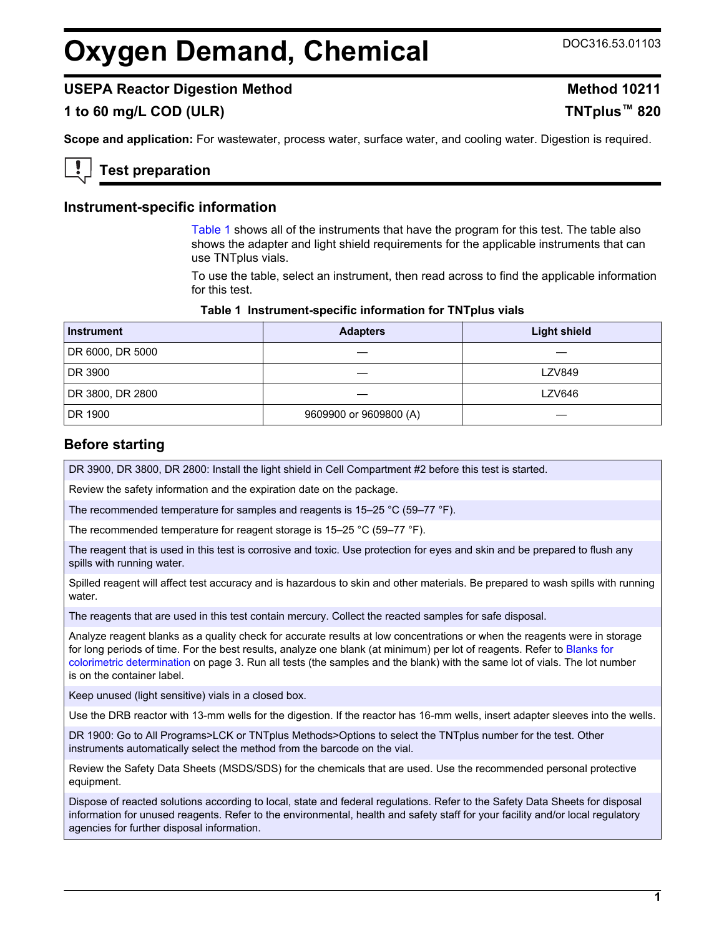# <span id="page-0-0"></span>**Oxygen Demand, Chemical** DOC316.53.01103

# **USEPA Reactor Digestion Method Method 10211**

# **1 to 60 mg/L COD (ULR) TNTplus™ 820**

**Scope and application:** For wastewater, process water, surface water, and cooling water. Digestion is required.

# **Test preparation**

#### **Instrument-specific information**

Table 1 shows all of the instruments that have the program for this test. The table also shows the adapter and light shield requirements for the applicable instruments that can use TNTplus vials.

To use the table, select an instrument, then read across to find the applicable information for this test.

#### **Table 1 Instrument-specific information for TNTplus vials**

| <b>Instrument</b> | <b>Adapters</b>        | <b>Light shield</b> |
|-------------------|------------------------|---------------------|
| DR 6000, DR 5000  |                        |                     |
| DR 3900           |                        | <b>LZV849</b>       |
| DR 3800, DR 2800  |                        | <b>LZV646</b>       |
| DR 1900           | 9609900 or 9609800 (A) |                     |

#### **Before starting**

DR 3900, DR 3800, DR 2800: Install the light shield in Cell Compartment #2 before this test is started.

Review the safety information and the expiration date on the package.

The recommended temperature for samples and reagents is 15–25 °C (59–77 °F).

The recommended temperature for reagent storage is 15–25 °C (59–77 °F).

The reagent that is used in this test is corrosive and toxic. Use protection for eyes and skin and be prepared to flush any spills with running water.

Spilled reagent will affect test accuracy and is hazardous to skin and other materials. Be prepared to wash spills with running water.

The reagents that are used in this test contain mercury. Collect the reacted samples for safe disposal.

Analyze reagent blanks as a quality check for accurate results at low concentrations or when the reagents were in storage for long periods of time. For the best results, analyze one blank (at minimum) per lot of reagents. Refer to [Blanks for](#page-2-0) [colorimetric determination](#page-2-0) on page 3. Run all tests (the samples and the blank) with the same lot of vials. The lot number is on the container label.

Keep unused (light sensitive) vials in a closed box.

Use the DRB reactor with 13-mm wells for the digestion. If the reactor has 16-mm wells, insert adapter sleeves into the wells.

DR 1900: Go to All Programs>LCK or TNTplus Methods>Options to select the TNTplus number for the test. Other instruments automatically select the method from the barcode on the vial.

Review the Safety Data Sheets (MSDS/SDS) for the chemicals that are used. Use the recommended personal protective equipment.

Dispose of reacted solutions according to local, state and federal regulations. Refer to the Safety Data Sheets for disposal information for unused reagents. Refer to the environmental, health and safety staff for your facility and/or local regulatory agencies for further disposal information.

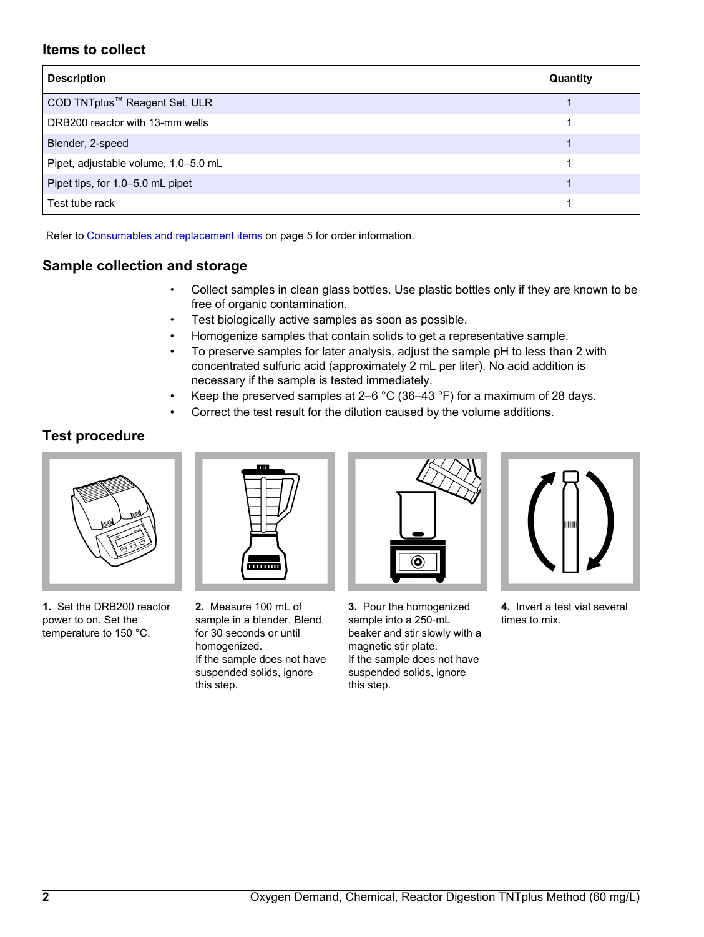# **Items to collect**

| <b>Description</b>                        | Quantity |
|-------------------------------------------|----------|
| COD TNTplus <sup>™</sup> Reagent Set, ULR |          |
| DRB200 reactor with 13-mm wells           |          |
| Blender, 2-speed                          |          |
| Pipet, adjustable volume, 1.0-5.0 mL      |          |
| Pipet tips, for 1.0-5.0 mL pipet          |          |
| Test tube rack                            |          |

Refer to [Consumables and replacement items](#page-4-0) on page 5 for order information.

# **Sample collection and storage**

- Collect samples in clean glass bottles. Use plastic bottles only if they are known to be free of organic contamination.
- Test biologically active samples as soon as possible.
- Homogenize samples that contain solids to get a representative sample.
- To preserve samples for later analysis, adjust the sample pH to less than 2 with concentrated sulfuric acid (approximately 2 mL per liter). No acid addition is necessary if the sample is tested immediately.
- Keep the preserved samples at 2–6  $^{\circ}$ C (36–43  $^{\circ}$ F) for a maximum of 28 days.
- Correct the test result for the dilution caused by the volume additions.

# **Test procedure**



**1.** Set the DRB200 reactor power to on. Set the temperature to 150 °C.

**2.** Measure 100 mL of sample in a blender. Blend for 30 seconds or until homogenized. If the sample does not have suspended solids, ignore this step.



**3.** Pour the homogenized sample into a 250‑mL beaker and stir slowly with a magnetic stir plate. If the sample does not have suspended solids, ignore this step.



**4.** Invert a test vial several times to mix.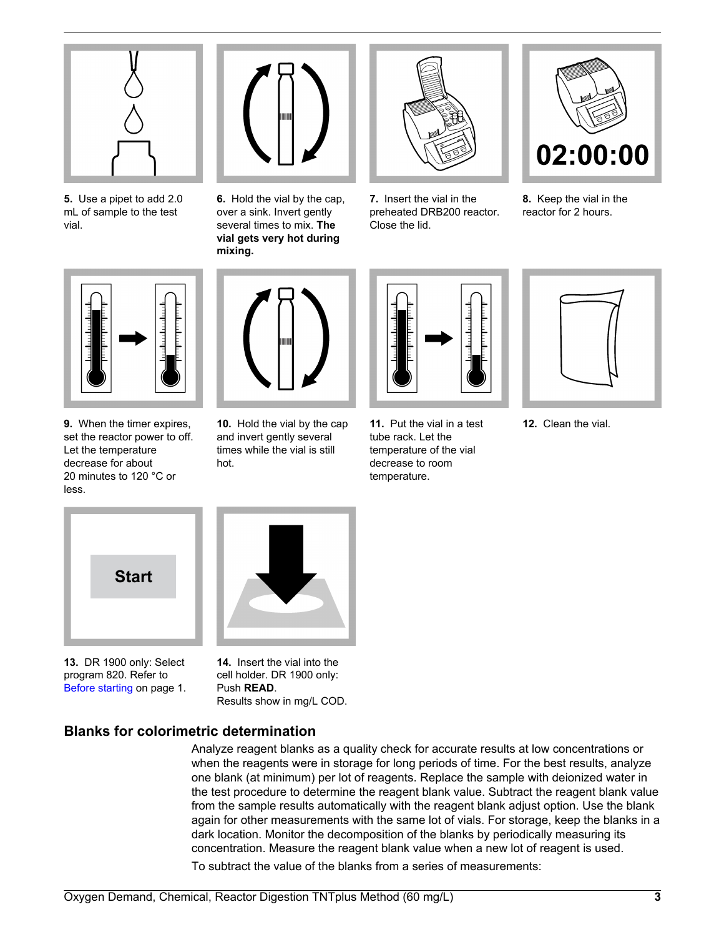<span id="page-2-0"></span>

**5.** Use a pipet to add 2.0 mL of sample to the test vial.



**6.** Hold the vial by the cap, over a sink. Invert gently several times to mix. **The vial gets very hot during mixing.**



**7.** Insert the vial in the preheated DRB200 reactor. Close the lid.



**8.** Keep the vial in the reactor for 2 hours.



**9.** When the timer expires, set the reactor power to off. Let the temperature decrease for about 20 minutes to 120 °C or less.



**10.** Hold the vial by the cap and invert gently several times while the vial is still hot.



**11.** Put the vial in a test tube rack. Let the temperature of the vial decrease to room temperature.



**12.** Clean the vial.



**13.** DR 1900 only: Select program 820. Refer to [Before starting](#page-0-0) on page 1.

**14.** Insert the vial into the

cell holder. DR 1900 only: Push **READ**. Results show in mg/L COD.

# **Blanks for colorimetric determination**

Analyze reagent blanks as a quality check for accurate results at low concentrations or when the reagents were in storage for long periods of time. For the best results, analyze one blank (at minimum) per lot of reagents. Replace the sample with deionized water in the test procedure to determine the reagent blank value. Subtract the reagent blank value from the sample results automatically with the reagent blank adjust option. Use the blank again for other measurements with the same lot of vials. For storage, keep the blanks in a dark location. Monitor the decomposition of the blanks by periodically measuring its concentration. Measure the reagent blank value when a new lot of reagent is used. To subtract the value of the blanks from a series of measurements: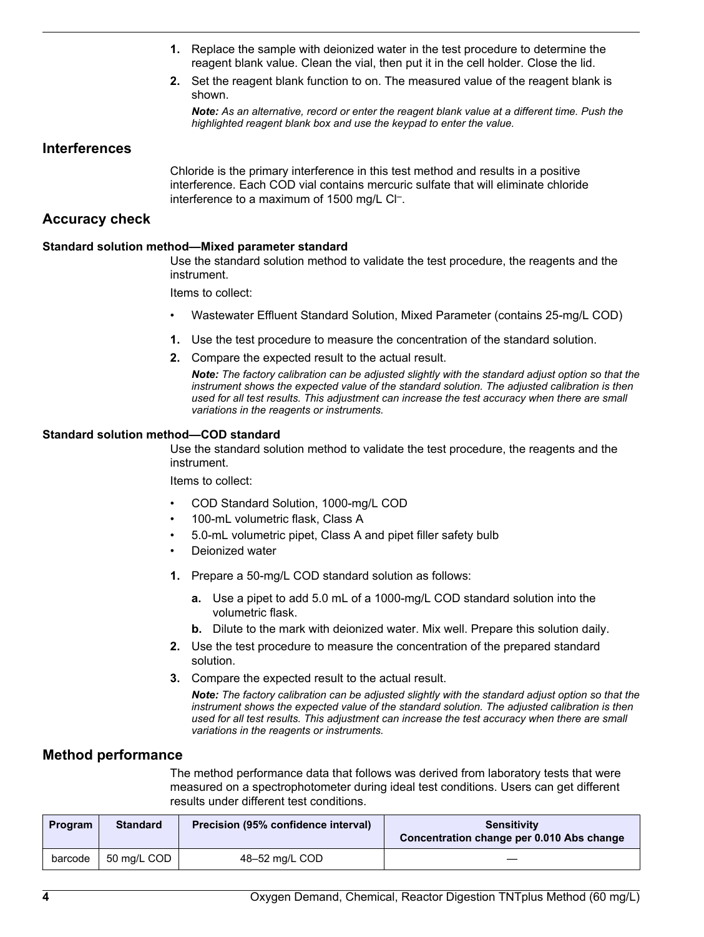- **1.** Replace the sample with deionized water in the test procedure to determine the reagent blank value. Clean the vial, then put it in the cell holder. Close the lid.
- **2.** Set the reagent blank function to on. The measured value of the reagent blank is shown.

*Note: As an alternative, record or enter the reagent blank value at a different time. Push the highlighted reagent blank box and use the keypad to enter the value.*

### **Interferences**

Chloride is the primary interference in this test method and results in a positive interference. Each COD vial contains mercuric sulfate that will eliminate chloride interference to a maximum of 1500 mg/L Cl<sup>-</sup>.

# **Accuracy check**

#### **Standard solution method—Mixed parameter standard**

Use the standard solution method to validate the test procedure, the reagents and the instrument.

Items to collect:

- Wastewater Effluent Standard Solution, Mixed Parameter (contains 25-mg/L COD)
- **1.** Use the test procedure to measure the concentration of the standard solution.
- **2.** Compare the expected result to the actual result.

*Note: The factory calibration can be adjusted slightly with the standard adjust option so that the instrument shows the expected value of the standard solution. The adjusted calibration is then used for all test results. This adjustment can increase the test accuracy when there are small variations in the reagents or instruments.*

#### **Standard solution method—COD standard**

Use the standard solution method to validate the test procedure, the reagents and the instrument.

Items to collect:

- COD Standard Solution, 1000-mg/L COD
- 100-mL volumetric flask, Class A
- 5.0-mL volumetric pipet, Class A and pipet filler safety bulb
- Deionized water
- **1.** Prepare a 50-mg/L COD standard solution as follows:
	- **a.** Use a pipet to add 5.0 mL of a 1000-mg/L COD standard solution into the volumetric flask.
	- **b.** Dilute to the mark with deionized water. Mix well. Prepare this solution daily.
- **2.** Use the test procedure to measure the concentration of the prepared standard solution.
- **3.** Compare the expected result to the actual result.

*Note: The factory calibration can be adjusted slightly with the standard adjust option so that the instrument shows the expected value of the standard solution. The adjusted calibration is then used for all test results. This adjustment can increase the test accuracy when there are small variations in the reagents or instruments.*

#### **Method performance**

The method performance data that follows was derived from laboratory tests that were measured on a spectrophotometer during ideal test conditions. Users can get different results under different test conditions.

| <b>Program</b> | <b>Standard</b> | Precision (95% confidence interval) | <b>Sensitivity</b><br>Concentration change per 0.010 Abs change |
|----------------|-----------------|-------------------------------------|-----------------------------------------------------------------|
| barcode        | 50 mg/L COD     | 48-52 mg/L COD                      |                                                                 |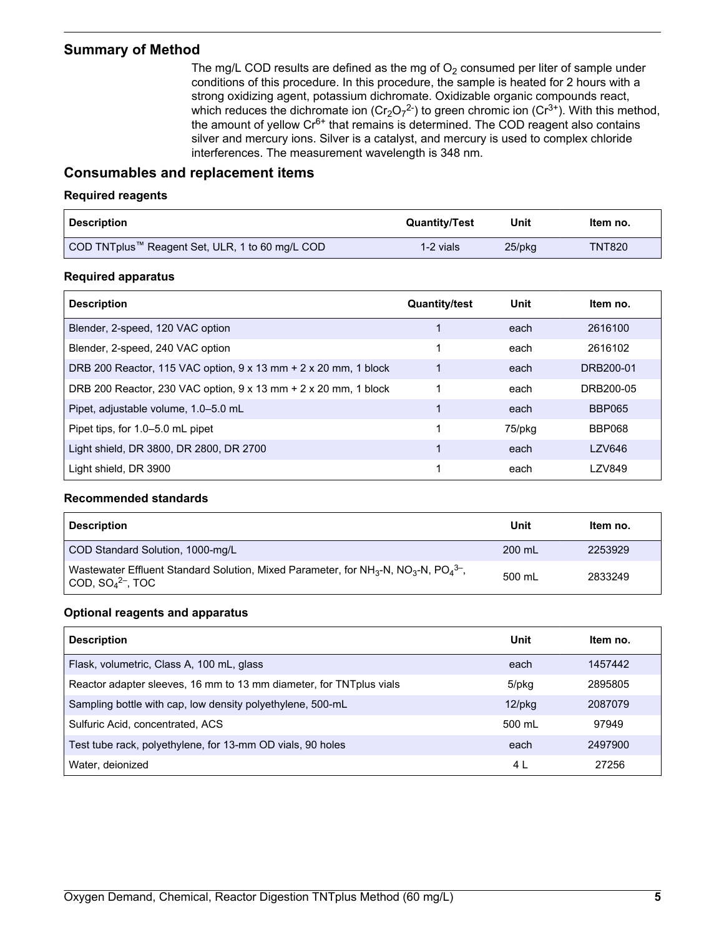# <span id="page-4-0"></span>**Summary of Method**

The mg/L COD results are defined as the mg of  $O<sub>2</sub>$  consumed per liter of sample under conditions of this procedure. In this procedure, the sample is heated for 2 hours with a strong oxidizing agent, potassium dichromate. Oxidizable organic compounds react, which reduces the dichromate ion (Cr<sub>2</sub>O<sub>7</sub><sup>2-</sup>) to green chromic ion (Cr<sup>3+</sup>). With this method, the amount of yellow  $Cr<sup>6+</sup>$  that remains is determined. The COD reagent also contains silver and mercury ions. Silver is a catalyst, and mercury is used to complex chloride interferences. The measurement wavelength is 348 nm.

# **Consumables and replacement items**

#### **Required reagents**

| <b>Description</b>                              | <b>Quantity/Test</b> | Unit      | Item no.      |
|-------------------------------------------------|----------------------|-----------|---------------|
| COD TNTplus™ Reagent Set, ULR, 1 to 60 mg/L COD | 1-2 vials            | $25$ /pkq | <b>TNT820</b> |

#### **Required apparatus**

| <b>Description</b>                                              | <b>Quantity/test</b> | Unit   | Item no.      |
|-----------------------------------------------------------------|----------------------|--------|---------------|
| Blender, 2-speed, 120 VAC option                                |                      | each   | 2616100       |
| Blender, 2-speed, 240 VAC option                                | 1                    | each   | 2616102       |
| DRB 200 Reactor, 115 VAC option, 9 x 13 mm + 2 x 20 mm, 1 block |                      | each   | DRB200-01     |
| DRB 200 Reactor, 230 VAC option, 9 x 13 mm + 2 x 20 mm, 1 block |                      | each   | DRB200-05     |
| Pipet, adjustable volume, 1.0–5.0 mL                            | 1                    | each   | <b>BBP065</b> |
| Pipet tips, for 1.0–5.0 mL pipet                                |                      | 75/pkg | <b>BBP068</b> |
| Light shield, DR 3800, DR 2800, DR 2700                         |                      | each   | <b>LZV646</b> |
| Light shield, DR 3900                                           |                      | each   | <b>LZV849</b> |

#### **Recommended standards**

| <b>Description</b>                                                                                                                                              | Unit   | Item no. |
|-----------------------------------------------------------------------------------------------------------------------------------------------------------------|--------|----------|
| COD Standard Solution, 1000-mg/L                                                                                                                                | 200 mL | 2253929  |
| Wastewater Effluent Standard Solution, Mixed Parameter, for NH <sub>3</sub> -N, NO <sub>3</sub> -N, PO <sub>4</sub> <sup>3-</sup> ,<br>COD, $SO_4{}^{2-}$ , TOC | 500 mL | 2833249  |

#### **Optional reagents and apparatus**

| <b>Description</b>                                                  | Unit      | Item no. |
|---------------------------------------------------------------------|-----------|----------|
| Flask, volumetric, Class A, 100 mL, glass                           | each      | 1457442  |
| Reactor adapter sleeves, 16 mm to 13 mm diameter, for TNTplus vials | 5/pkg     | 2895805  |
| Sampling bottle with cap, low density polyethylene, 500-mL          | $12$ /pkg | 2087079  |
| Sulfuric Acid, concentrated, ACS                                    | 500 mL    | 97949    |
| Test tube rack, polyethylene, for 13-mm OD vials, 90 holes          | each      | 2497900  |
| Water, deionized                                                    | 4 L       | 27256    |